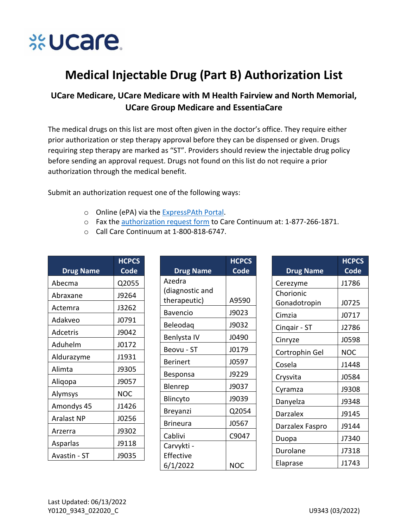

## **Medical Injectable Drug (Part B) Authorization List**

## UCare Medicare, UCare Medicare with M Health Fairview and North Memorial, **UCare Group Medicare and EssentiaCare**

The medical drugs on this list are most often given in the doctor's office. They require either prior authorization or step therapy approval before they can be dispensed or given. Drugs requiring step therapy are marked as "ST". Providers should review the injectable drug policy before sending an approval request. Drugs not found on this list do not require a prior authorization through the medical benefit.

Submit an authorization request one of the following ways:

- o Online (ePA) via the ExpressPAth Portal.
- o Fax the authorization request form to Care Continuum at: 1-877-266-1871.
- Call Care Continuum at 1-800-818-6747.

| <b>Drug Name</b> | <b>HCPCS</b><br>Code |
|------------------|----------------------|
| Abecma           | Q2055                |
| Abraxane         | J9264                |
| Actemra          | J3262                |
| Adakveo          | J0791                |
| Adcetris         | J9042                |
| Aduhelm          | J0172                |
| Aldurazyme       | J1931                |
| Alimta           | J9305                |
| Aliqopa          | J9057                |
| Alymsys          | NOC                  |
| Amondys 45       | J1426                |
| Aralast NP       | J0256                |
| Arzerra          | J9302                |
| Asparlas         | J9118                |
| Avastin - ST     | J9035                |

|                  | <b>HCPCS</b> |
|------------------|--------------|
| <b>Drug Name</b> | <b>Code</b>  |
| Azedra           |              |
| (diagnostic and  |              |
| therapeutic)     | A9590        |
| <b>Bavencio</b>  | J9023        |
| Beleodaq         | J9032        |
| Benlysta IV      | J0490        |
| Beovu - ST       | J0179        |
| <b>Berinert</b>  | J0597        |
| Besponsa         | J9229        |
| Blenrep          | J9037        |
| Blincyto         | J9039        |
| Breyanzi         | Q2054        |
| <b>Brineura</b>  | J0567        |
| Cablivi          | C9047        |
| Carvykti -       |              |
| Effective        |              |
| 6/1/2022         | NOC          |

| <b>Drug Name</b> | <b>HCPCS</b><br><b>Code</b> |
|------------------|-----------------------------|
| Cerezyme         | J1786                       |
| Chorionic        |                             |
| Gonadotropin     | J0725                       |
| Cimzia           | J0717                       |
| Cinqair - ST     | J2786                       |
| Cinryze          | J0598                       |
| Cortrophin Gel   | <b>NOC</b>                  |
| Cosela           | 11448                       |
| Crysvita         | J0584                       |
| Cyramza          | J9308                       |
| Danyelza         | J9348                       |
| Darzalex         | J9145                       |
| Darzalex Faspro  | J9144                       |
| Duopa            | J7340                       |
| Durolane         | J7318                       |
| Elaprase         | 11743                       |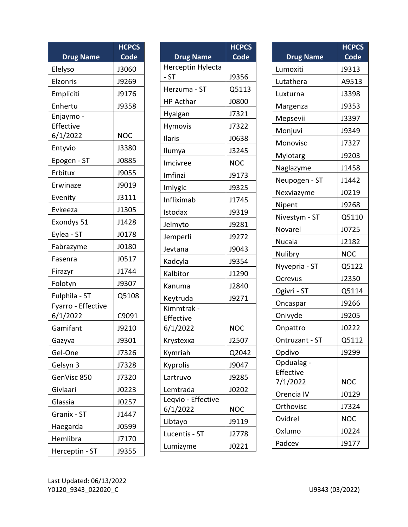|                       | <b>HCPCS</b> |
|-----------------------|--------------|
| <b>Drug Name</b>      | <b>Code</b>  |
| Elelyso               | J3060        |
| Elzonris              | J9269        |
| Empliciti             | J9176        |
| Enhertu               | J9358        |
| Enjaymo -             |              |
| Effective<br>6/1/2022 | <b>NOC</b>   |
|                       |              |
| Entyvio               | J3380        |
| Epogen - ST           | J0885        |
| Erbitux               | J9055        |
| Erwinaze              | J9019        |
| Evenity               | J3111        |
| Evkeeza               | J1305        |
| Exondys 51            | J1428        |
| Eylea - ST            | J0178        |
| Fabrazyme             | J0180        |
| Fasenra               | J0517        |
| Firazyr               | J1744        |
| Folotyn               | J9307        |
| Fulphila - ST         | Q5108        |
| Fyarro - Effective    |              |
| 6/1/2022              | C9091        |
| Gamifant              | J9210        |
| Gazyva                | J9301        |
| Gel-One               | J7326        |
| Gelsyn 3              | J7328        |
| GenVisc 850           | J7320        |
| Givlaari              | J0223        |
| Glassia               | J0257        |
| Granix - ST           | J1447        |
| Haegarda              | J0599        |
| Hemlibra              | J7170        |
| Herceptin - ST        | J9355        |

|                    | <b>HCPCS</b> |
|--------------------|--------------|
| <b>Drug Name</b>   | Code         |
| Herceptin Hylecta  |              |
| $-ST$              | J9356        |
| Herzuma - ST       | Q5113        |
| <b>HP Acthar</b>   | J0800        |
| Hyalgan            | J7321        |
| Hymovis            | J7322        |
| Ilaris             | J0638        |
| Ilumya             | J3245        |
| Imcivree           | <b>NOC</b>   |
| Imfinzi            | J9173        |
| Imlygic            | J9325        |
| Infliximab         | J1745        |
| Istodax            | J9319        |
| Jelmyto            | J9281        |
| Jemperli           | J9272        |
| Jevtana            | J9043        |
| Kadcyla            | J9354        |
| Kalbitor           | J1290        |
| Kanuma             | J2840        |
| Keytruda           | J9271        |
| Kimmtrak -         |              |
| Effective          |              |
| 6/1/2022           | <b>NOC</b>   |
| Krystexxa          | J2507        |
| Kymriah            | Q2042        |
| Kyprolis           | J9047        |
| Lartruvo           | J9285        |
| Lemtrada           | J0202        |
| Leqvio - Effective |              |
| 6/1/2022           | <b>NOC</b>   |
| Libtayo            | J9119        |
| Lucentis - ST      | J2778        |
| Lumizyme           | J0221        |

|                       | <b>HCPCS</b> |
|-----------------------|--------------|
| <b>Drug Name</b>      | Code         |
| Lumoxiti              | J9313        |
| Lutathera             | A9513        |
| Luxturna              | J3398        |
| Margenza              | J9353        |
| Mepsevii              | J3397        |
| Monjuvi               | J9349        |
| Monovisc              | J7327        |
| Mylotarg              | J9203        |
| Naglazyme             | J1458        |
| Neupogen - ST         | J1442        |
| Nexviazyme            | J0219        |
| Nipent                | J9268        |
| Nivestym - ST         | Q5110        |
| Novarel               | J0725        |
| Nucala                | J2182        |
| Nulibry               | <b>NOC</b>   |
| Nyvepria - ST         | Q5122        |
| Ocrevus               | J2350        |
| Ogivri - ST           | Q5114        |
| Oncaspar              | J9266        |
| Onivyde               | J9205        |
| Onpattro              | J0222        |
| Ontruzant - ST        | Q5112        |
| Opdivo                | J9299        |
| Opdualag              |              |
| Effective<br>7/1/2022 | NOC          |
| Orencia IV            | J0129        |
| Orthovisc             | J7324        |
| Ovidrel               | <b>NOC</b>   |
| Oxlumo                | J0224        |
| Padcev                | J9177        |